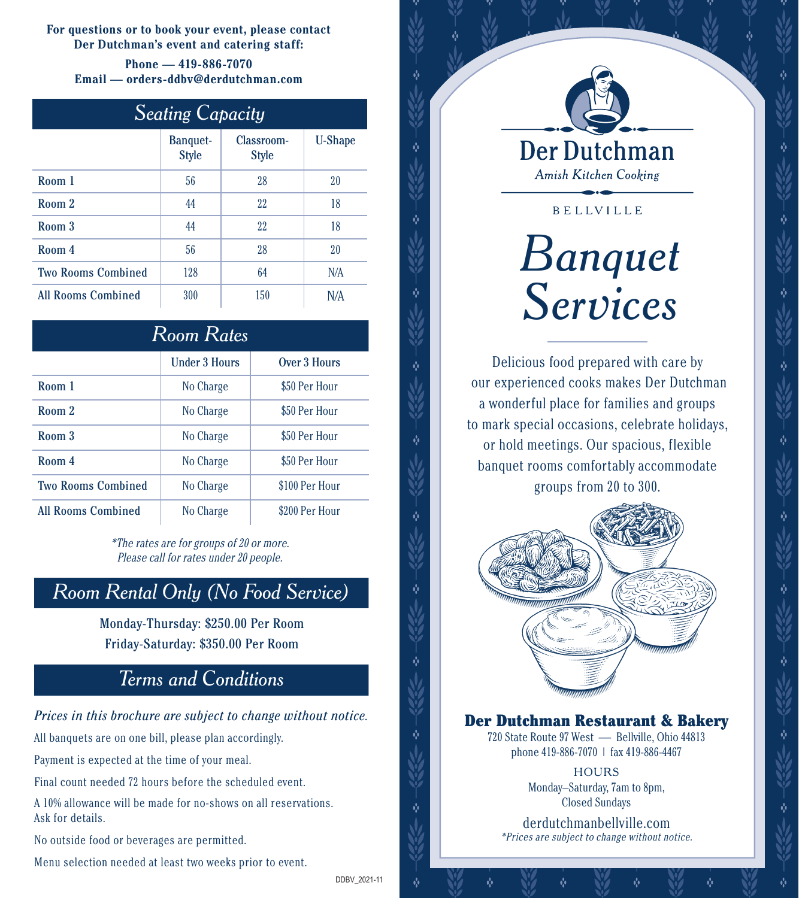**For questions or to book your event, please contact Der Dutchman's event and catering staff:**

**Phone — 419-886-7070 Email — orders-ddbv@derdutchman.com**

| <b>Seating Capacity</b> |
|-------------------------|

|                           | <b>Banquet-</b><br><b>Style</b> | Classroom-<br><b>Style</b> | <b>U-Shape</b> |
|---------------------------|---------------------------------|----------------------------|----------------|
| Room 1                    | 56                              | 28                         | 20             |
| Room 2                    | 44                              | 22                         | 18             |
| Room 3                    | 44                              | 22                         | 18             |
| Room 4                    | 56                              | 28                         | 20             |
| <b>Two Rooms Combined</b> | 128                             | 64                         | N/A            |
| <b>All Rooms Combined</b> | 300                             | 150                        | N/A            |

| <b>Room Rates</b>         |                      |                |  |
|---------------------------|----------------------|----------------|--|
|                           | <b>Under 3 Hours</b> | Over 3 Hours   |  |
| Room 1                    | No Charge            | \$50 Per Hour  |  |
| Room 2                    | No Charge            | \$50 Per Hour  |  |
| Room 3                    | No Charge            | \$50 Per Hour  |  |
| Room 4                    | No Charge            | \$50 Per Hour  |  |
| <b>Two Rooms Combined</b> | No Charge            | \$100 Per Hour |  |
| <b>All Rooms Combined</b> | No Charge            | \$200 Per Hour |  |

\*The rates are for groups of 20 or more. Please call for rates under 20 people.

### *Room Rental Only (No Food Service)*

Monday-Thursday: \$250.00 Per Room Friday-Saturday: \$350.00 Per Room

### *Terms and Conditions*

### Prices in this brochure are subject to change without notice.<br>**Der Dutchman Restaurant & Bakery**

All banquets are on one bill, please plan accordingly.

Payment is expected at the time of your meal.

Final count needed 72 hours before the scheduled event.

A 10% allowance will be made for no-shows on all reservations. Ask for details.

No outside food or beverages are permitted.

Menu selection needed at least two weeks prior to event.

**Amish Kitchen Cooking** 

**BELLVILLE** 

# *Banquet Services*

Delicious food prepared with care by our experienced cooks makes Der Dutchman a wonderful place for families and groups to mark special occasions, celebrate holidays, or hold meetings. Our spacious, flexible banquet rooms comfortably accommodate groups from 20 to 300.



720 State Route 97 West — Bellville, Ohio 44813 phone 419-886-7070 | fax 419-886-4467

> **HOURS** Monday–Saturday, 7am to 8pm, Closed Sundays

derdutchmanbellville.com \*Prices are subject to change without notice.